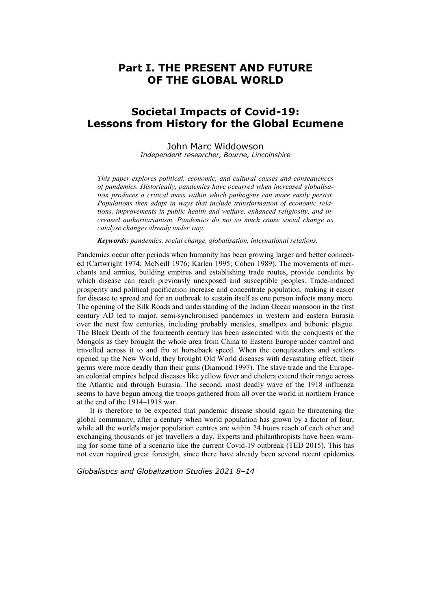## **Part I. THE PRESENT AND FUTURE OF THE GLOBAL WORLD**

## **Societal Impacts of Covid-19: Lessons from History for the Global Ecumene**

John Marc Widdowson *Independent researcher, Bourne, Lincolnshire* 

*This paper explores political, economic, and cultural causes and consequences of pandemics. Historically, pandemics have occurred when increased globalisation produces a critical mass within which pathogens can more easily persist. Populations then adapt in ways that include transformation of economic relations, improvements in public health and welfare, enhanced religiosity, and increased authoritarianism. Pandemics do not so much cause social change as catalyse changes already under way.* 

*Keywords: pandemics, social change, globalisation, international relations.* 

Pandemics occur after periods when humanity has been growing larger and better connected (Cartwright 1974; McNeill 1976; Karlen 1995; Cohen 1989). The movements of merchants and armies, building empires and establishing trade routes, provide conduits by which disease can reach previously unexposed and susceptible peoples. Trade-induced prosperity and political pacification increase and concentrate population, making it easier for disease to spread and for an outbreak to sustain itself as one person infects many more. The opening of the Silk Roads and understanding of the Indian Ocean monsoon in the first century AD led to major, semi-synchronised pandemics in western and eastern Eurasia over the next few centuries, including probably measles, smallpox and bubonic plague. The Black Death of the fourteenth century has been associated with the conquests of the Mongols as they brought the whole area from China to Eastern Europe under control and travelled across it to and fro at horseback speed. When the conquistadors and settlers opened up the New World, they brought Old World diseases with devastating effect, their germs were more deadly than their guns (Diamond 1997). The slave trade and the European colonial empires helped diseases like yellow fever and cholera extend their range across the Atlantic and through Eurasia. The second, most deadly wave of the 1918 influenza seems to have begun among the troops gathered from all over the world in northern France at the end of the 1914–1918 war.

It is therefore to be expected that pandemic disease should again be threatening the global community, after a century when world population has grown by a factor of four, while all the world's major population centres are within 24 hours reach of each other and exchanging thousands of jet travellers a day. Experts and philanthropists have been warning for some time of a scenario like the current Covid-19 outbreak (TED 2015). This has not even required great foresight, since there have already been several recent epidemics

*Globalistics and Globalization Studies 2021 8–14*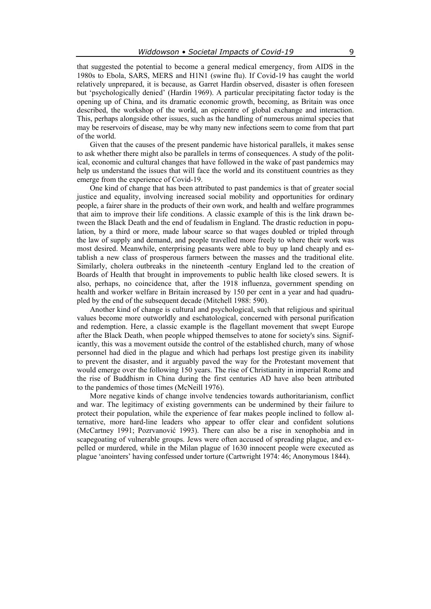that suggested the potential to become a general medical emergency, from AIDS in the 1980s to Ebola, SARS, MERS and H1N1 (swine flu). If Covid-19 has caught the world relatively unprepared, it is because, as Garret Hardin observed, disaster is often foreseen but 'psychologically denied' (Hardin 1969). A particular precipitating factor today is the opening up of China, and its dramatic economic growth, becoming, as Britain was once described, the workshop of the world, an epicentre of global exchange and interaction. This, perhaps alongside other issues, such as the handling of numerous animal species that may be reservoirs of disease, may be why many new infections seem to come from that part of the world.

Given that the causes of the present pandemic have historical parallels, it makes sense to ask whether there might also be parallels in terms of consequences. A study of the political, economic and cultural changes that have followed in the wake of past pandemics may help us understand the issues that will face the world and its constituent countries as they emerge from the experience of Covid-19.

One kind of change that has been attributed to past pandemics is that of greater social justice and equality, involving increased social mobility and opportunities for ordinary people, a fairer share in the products of their own work, and health and welfare programmes that aim to improve their life conditions. A classic example of this is the link drawn between the Black Death and the end of feudalism in England. The drastic reduction in population, by a third or more, made labour scarce so that wages doubled or tripled through the law of supply and demand, and people travelled more freely to where their work was most desired. Meanwhile, enterprising peasants were able to buy up land cheaply and establish a new class of prosperous farmers between the masses and the traditional elite. Similarly, cholera outbreaks in the nineteenth -century England led to the creation of Boards of Health that brought in improvements to public health like closed sewers. It is also, perhaps, no coincidence that, after the 1918 influenza, government spending on health and worker welfare in Britain increased by 150 per cent in a year and had quadrupled by the end of the subsequent decade (Mitchell 1988: 590).

Another kind of change is cultural and psychological, such that religious and spiritual values become more outworldly and eschatological, concerned with personal purification and redemption. Here, a classic example is the flagellant movement that swept Europe after the Black Death, when people whipped themselves to atone for society's sins. Significantly, this was a movement outside the control of the established church, many of whose personnel had died in the plague and which had perhaps lost prestige given its inability to prevent the disaster, and it arguably paved the way for the Protestant movement that would emerge over the following 150 years. The rise of Christianity in imperial Rome and the rise of Buddhism in China during the first centuries AD have also been attributed to the pandemics of those times (McNeill 1976).

More negative kinds of change involve tendencies towards authoritarianism, conflict and war. The legitimacy of existing governments can be undermined by their failure to protect their population, while the experience of fear makes people inclined to follow alternative, more hard-line leaders who appear to offer clear and confident solutions (McCartney 1991; Pozrvanović 1993). There can also be a rise in xenophobia and in scapegoating of vulnerable groups. Jews were often accused of spreading plague, and expelled or murdered, while in the Milan plague of 1630 innocent people were executed as plague 'anointers' having confessed under torture (Cartwright 1974: 46; Anonymous 1844).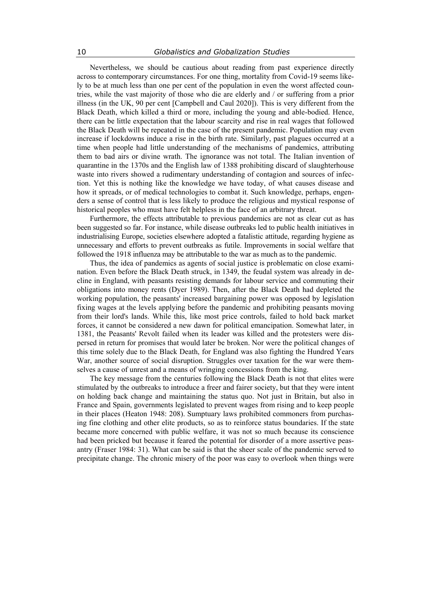Nevertheless, we should be cautious about reading from past experience directly across to contemporary circumstances. For one thing, mortality from Covid-19 seems likely to be at much less than one per cent of the population in even the worst affected countries, while the vast majority of those who die are elderly and / or suffering from a prior illness (in the UK, 90 per cent [Campbell and Caul 2020]). This is very different from the Black Death, which killed a third or more, including the young and able-bodied. Hence, there can be little expectation that the labour scarcity and rise in real wages that followed the Black Death will be repeated in the case of the present pandemic. Population may even increase if lockdowns induce a rise in the birth rate. Similarly, past plagues occurred at a time when people had little understanding of the mechanisms of pandemics, attributing them to bad airs or divine wrath. The ignorance was not total. The Italian invention of quarantine in the 1370s and the English law of 1388 prohibiting discard of slaughterhouse waste into rivers showed a rudimentary understanding of contagion and sources of infection. Yet this is nothing like the knowledge we have today, of what causes disease and how it spreads, or of medical technologies to combat it. Such knowledge, perhaps, engenders a sense of control that is less likely to produce the religious and mystical response of historical peoples who must have felt helpless in the face of an arbitrary threat.

Furthermore, the effects attributable to previous pandemics are not as clear cut as has been suggested so far. For instance, while disease outbreaks led to public health initiatives in industrialising Europe, societies elsewhere adopted a fatalistic attitude, regarding hygiene as unnecessary and efforts to prevent outbreaks as futile. Improvements in social welfare that followed the 1918 influenza may be attributable to the war as much as to the pandemic.

Thus, the idea of pandemics as agents of social justice is problematic on close examination. Even before the Black Death struck, in 1349, the feudal system was already in decline in England, with peasants resisting demands for labour service and commuting their obligations into money rents (Dyer 1989). Then, after the Black Death had depleted the working population, the peasants' increased bargaining power was opposed by legislation fixing wages at the levels applying before the pandemic and prohibiting peasants moving from their lord's lands. While this, like most price controls, failed to hold back market forces, it cannot be considered a new dawn for political emancipation. Somewhat later, in 1381, the Peasants' Revolt failed when its leader was killed and the protesters were dispersed in return for promises that would later be broken. Nor were the political changes of this time solely due to the Black Death, for England was also fighting the Hundred Years War, another source of social disruption. Struggles over taxation for the war were themselves a cause of unrest and a means of wringing concessions from the king.

The key message from the centuries following the Black Death is not that elites were stimulated by the outbreaks to introduce a freer and fairer society, but that they were intent on holding back change and maintaining the status quo. Not just in Britain, but also in France and Spain, governments legislated to prevent wages from rising and to keep people in their places (Heaton 1948: 208). Sumptuary laws prohibited commoners from purchasing fine clothing and other elite products, so as to reinforce status boundaries. If the state became more concerned with public welfare, it was not so much because its conscience had been pricked but because it feared the potential for disorder of a more assertive peasantry (Fraser 1984: 31). What can be said is that the sheer scale of the pandemic served to precipitate change. The chronic misery of the poor was easy to overlook when things were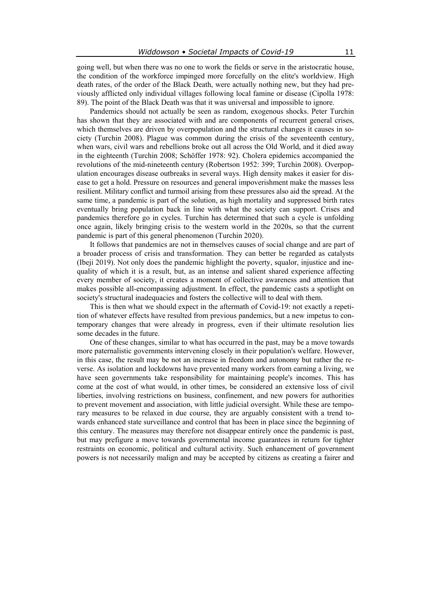going well, but when there was no one to work the fields or serve in the aristocratic house, the condition of the workforce impinged more forcefully on the elite's worldview. High death rates, of the order of the Black Death, were actually nothing new, but they had previously afflicted only individual villages following local famine or disease (Cipolla 1978: 89). The point of the Black Death was that it was universal and impossible to ignore.

Pandemics should not actually be seen as random, exogenous shocks. Peter Turchin has shown that they are associated with and are components of recurrent general crises, which themselves are driven by overpopulation and the structural changes it causes in society (Turchin 2008). Plague was common during the crisis of the seventeenth century, when wars, civil wars and rebellions broke out all across the Old World, and it died away in the eighteenth (Turchin 2008; Schöffer 1978: 92). Cholera epidemics accompanied the revolutions of the mid-nineteenth century (Robertson 1952: 399; Turchin 2008). Overpopulation encourages disease outbreaks in several ways. High density makes it easier for disease to get a hold. Pressure on resources and general impoverishment make the masses less resilient. Military conflict and turmoil arising from these pressures also aid the spread. At the same time, a pandemic is part of the solution, as high mortality and suppressed birth rates eventually bring population back in line with what the society can support. Crises and pandemics therefore go in cycles. Turchin has determined that such a cycle is unfolding once again, likely bringing crisis to the western world in the 2020s, so that the current pandemic is part of this general phenomenon (Turchin 2020).

It follows that pandemics are not in themselves causes of social change and are part of a broader process of crisis and transformation. They can better be regarded as catalysts (Ibeji 2019). Not only does the pandemic highlight the poverty, squalor, injustice and inequality of which it is a result, but, as an intense and salient shared experience affecting every member of society, it creates a moment of collective awareness and attention that makes possible all-encompassing adjustment. In effect, the pandemic casts a spotlight on society's structural inadequacies and fosters the collective will to deal with them.

This is then what we should expect in the aftermath of Covid-19: not exactly a repetition of whatever effects have resulted from previous pandemics, but a new impetus to contemporary changes that were already in progress, even if their ultimate resolution lies some decades in the future.

One of these changes, similar to what has occurred in the past, may be a move towards more paternalistic governments intervening closely in their population's welfare. However, in this case, the result may be not an increase in freedom and autonomy but rather the reverse. As isolation and lockdowns have prevented many workers from earning a living, we have seen governments take responsibility for maintaining people's incomes. This has come at the cost of what would, in other times, be considered an extensive loss of civil liberties, involving restrictions on business, confinement, and new powers for authorities to prevent movement and association, with little judicial oversight. While these are temporary measures to be relaxed in due course, they are arguably consistent with a trend towards enhanced state surveillance and control that has been in place since the beginning of this century. The measures may therefore not disappear entirely once the pandemic is past, but may prefigure a move towards governmental income guarantees in return for tighter restraints on economic, political and cultural activity. Such enhancement of government powers is not necessarily malign and may be accepted by citizens as creating a fairer and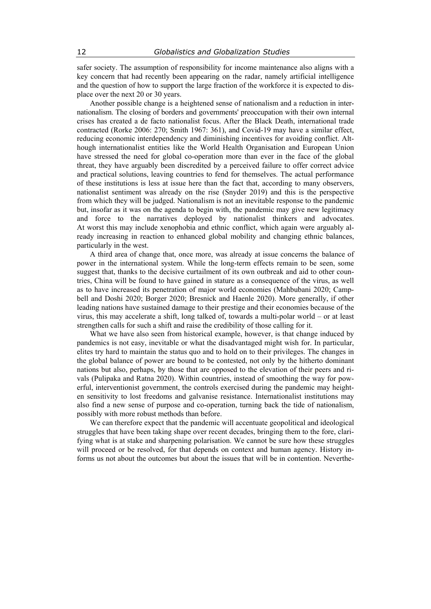safer society. The assumption of responsibility for income maintenance also aligns with a key concern that had recently been appearing on the radar, namely artificial intelligence and the question of how to support the large fraction of the workforce it is expected to displace over the next 20 or 30 years.

Another possible change is a heightened sense of nationalism and a reduction in internationalism. The closing of borders and governments' preoccupation with their own internal crises has created a de facto nationalist focus. After the Black Death, international trade contracted (Rorke 2006: 270; Smith 1967: 361), and Covid-19 may have a similar effect, reducing economic interdependency and diminishing incentives for avoiding conflict. Although internationalist entities like the World Health Organisation and European Union have stressed the need for global co-operation more than ever in the face of the global threat, they have arguably been discredited by a perceived failure to offer correct advice and practical solutions, leaving countries to fend for themselves. The actual performance of these institutions is less at issue here than the fact that, according to many observers, nationalist sentiment was already on the rise (Snyder 2019) and this is the perspective from which they will be judged. Nationalism is not an inevitable response to the pandemic but, insofar as it was on the agenda to begin with, the pandemic may give new legitimacy and force to the narratives deployed by nationalist thinkers and advocates. At worst this may include xenophobia and ethnic conflict, which again were arguably already increasing in reaction to enhanced global mobility and changing ethnic balances, particularly in the west.

A third area of change that, once more, was already at issue concerns the balance of power in the international system. While the long-term effects remain to be seen, some suggest that, thanks to the decisive curtailment of its own outbreak and aid to other countries, China will be found to have gained in stature as a consequence of the virus, as well as to have increased its penetration of major world economies (Mahbubani 2020; Campbell and Doshi 2020; Borger 2020; Bresnick and Haenle 2020). More generally, if other leading nations have sustained damage to their prestige and their economies because of the virus, this may accelerate a shift, long talked of, towards a multi-polar world – or at least strengthen calls for such a shift and raise the credibility of those calling for it.

What we have also seen from historical example, however, is that change induced by pandemics is not easy, inevitable or what the disadvantaged might wish for. In particular, elites try hard to maintain the status quo and to hold on to their privileges. The changes in the global balance of power are bound to be contested, not only by the hitherto dominant nations but also, perhaps, by those that are opposed to the elevation of their peers and rivals (Pulipaka and Ratna 2020). Within countries, instead of smoothing the way for powerful, interventionist government, the controls exercised during the pandemic may heighten sensitivity to lost freedoms and galvanise resistance. Internationalist institutions may also find a new sense of purpose and co-operation, turning back the tide of nationalism, possibly with more robust methods than before.

We can therefore expect that the pandemic will accentuate geopolitical and ideological struggles that have been taking shape over recent decades, bringing them to the fore, clarifying what is at stake and sharpening polarisation. We cannot be sure how these struggles will proceed or be resolved, for that depends on context and human agency. History informs us not about the outcomes but about the issues that will be in contention. Neverthe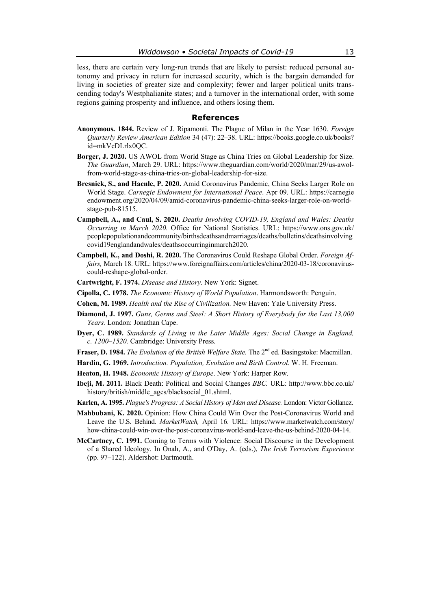less, there are certain very long-run trends that are likely to persist: reduced personal autonomy and privacy in return for increased security, which is the bargain demanded for living in societies of greater size and complexity; fewer and larger political units transcending today's Westphalianite states; and a turnover in the international order, with some regions gaining prosperity and influence, and others losing them.

## **References**

- **Anonymous. 1844.** Review of J. Ripamonti. The Plague of Milan in the Year 1630. *Foreign Quarterly Review American Edition* 34 (47): 22–38. URL: https://books.google.co.uk/books? id=mkVcDLrlx0QC.
- **Borger, J. 2020.** US AWOL from World Stage as China Tries on Global Leadership for Size. *The Guardian*, March 29. URL: https://www.theguardian.com/world/2020/mar/29/us-awolfrom-world-stage-as-china-tries-on-global-leadership-for-size.
- **Bresnick, S., and Haenle, P. 2020.** Amid Coronavirus Pandemic, China Seeks Larger Role on World Stage. *Carnegie Endowment for International Peace*. Apr 09. URL: https://carnegie endowment.org/2020/04/09/amid-coronavirus-pandemic-china-seeks-larger-role-on-worldstage-pub-81515.
- **Campbell, A., and Caul, S. 2020.** *Deaths Involving COVID-19, England and Wales: Deaths Occurring in March 2020.* Office for National Statistics. URL: https://www.ons.gov.uk/ peoplepopulationandcommunity/birthsdeathsandmarriages/deaths/bulletins/deathsinvolving covid19englandandwales/deathsoccurringinmarch2020.
- **Campbell, K., and Doshi, R. 2020.** The Coronavirus Could Reshape Global Order. *Foreign Affairs,* March 18. URL: https://www.foreignaffairs.com/articles/china/2020-03-18/coronaviruscould-reshape-global-order.
- **Cartwright, F. 1974.** *Disease and History*. New York: Signet.
- **Cipolla, C. 1978.** *The Economic History of World Population*. Harmondsworth: Penguin.
- **Cohen, M. 1989.** *Health and the Rise of Civilization.* New Haven: Yale University Press.
- **Diamond, J. 1997.** *Guns, Germs and Steel: A Short History of Everybody for the Last 13,000 Years.* London: Jonathan Cape.
- **Dyer, C. 1989.** *Standards of Living in the Later Middle Ages: Social Change in England, c. 1200–1520.* Cambridge: University Press.
- Fraser, D. 1984. *The Evolution of the British Welfare State*. The 2<sup>nd</sup> ed. Basingstoke: Macmillan.
- **Hardin, G. 1969.** *Introduction. Population, Evolution and Birth Control.* W. H. Freeman.
- **Heaton, H. 1948.** *Economic History of Europe*. New York: Harper Row.
- **Ibeji, M. 2011.** Black Death: Political and Social Changes *BBC.* URL: http://www.bbc.co.uk/ history/british/middle\_ages/blacksocial\_01.shtml.
- **Karlen, A. 1995.** *Plague's Progress: A Social History of Man and Disease.* London: Victor Gollancz.
- **Mahbubani, K. 2020.** Opinion: How China Could Win Over the Post-Coronavirus World and Leave the U.S. Behind. *MarketWatch,* April 16. URL: https://www.marketwatch.com/story/ how-china-could-win-over-the-post-coronavirus-world-and-leave-the-us-behind-2020-04-14.
- **McCartney, C. 1991.** Coming to Terms with Violence: Social Discourse in the Development of a Shared Ideology. In Onah, A., and O'Day, A. (eds.), *The Irish Terrorism Experience*  (pp. 97–122). Aldershot: Dartmouth.